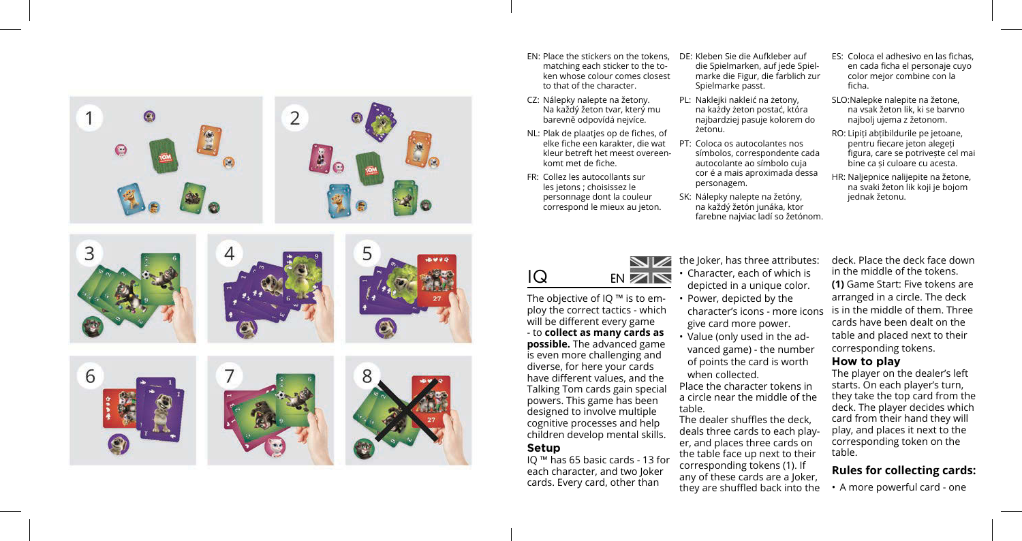

- EN: Place the stickers on the tokens, matching each sticker to the token whose colour comes closest to that of the character.
- CZ: Nálepky nalepte na žetony. Na každý žeton tvar, který mu barevně odpovídá nejvíce.
- NL: Plak de plaatjes op de fiches, of elke fiche een karakter, die wat kleur betreft het meest overeenkomt met de fiche.
- FR: Collez les autocollants sur les jetons ; choisissez le personnage dont la couleur correspond le mieux au jeton.

DE: Kleben Sie die Aufkleber auf die Spielmarken, auf jede Spielmarke die Figur, die farblich zur Spielmarke passt.

- PL: Naklejki nakleić na żetony, na każdy żeton postać, która najbardziej pasuje kolorem do żetonu.
- PT: Coloca os autocolantes nos símbolos, correspondente cada autocolante ao símbolo cuja cor é a mais aproximada dessa personagem.
- SK: Nálepky nalepte na žetóny, na každý žetón junáka, ktor farebne najviac ladí so žetónom.

ES: Coloca el adhesivo en las fichas, en cada ficha el personaje cuyo color mejor combine con la ficha.

- SLO:Nalepke nalepite na žetone, na vsak žeton lik, ki se barvno najbolj ujema z žetonom.
- RO: Lipiți abțibildurile pe jetoane, pentru fiecare jeton alegeți figura, care se potrivește cel mai bine ca și culoare cu acesta.
- HR: Naljepnice nalijepite na žetone, na svaki žeton lik koji je bojom jednak žetonu.

character's icons - more icons is in the middle of them. Three deck. Place the deck face down in the middle of the tokens. **(1)** Game Start: Five tokens are arranged in a circle. The deck cards have been dealt on the table and placed next to their corresponding tokens.

#### **How to play**

The player on the dealer's left starts. On each player's turn, they take the top card from the deck. The player decides which card from their hand they will play, and places it next to the corresponding token on the table.

## **Rules for collecting cards:**

• A more powerful card - one

IQ EN

The objective of IQ ™ is to employ the correct tactics - which will be different every game - to **collect as many cards as possible.** The advanced game is even more challenging and diverse, for here your cards have different values, and the Talking Tom cards gain special powers. This game has been designed to involve multiple cognitive processes and help children develop mental skills.

### **Setup**

IQ ™ has 65 basic cards - 13 for each character, and two Joker cards. Every card, other than

the Joker, has three attributes: • Character, each of which is depicted in a unique color.

- Power, depicted by the give card more power.
- Value (only used in the advanced game) - the number of points the card is worth when collected.

Place the character tokens in a circle near the middle of the table.

The dealer shuffles the deck, deals three cards to each player, and places three cards on the table face up next to their corresponding tokens (1). If any of these cards are a Joker, they are shuffled back into the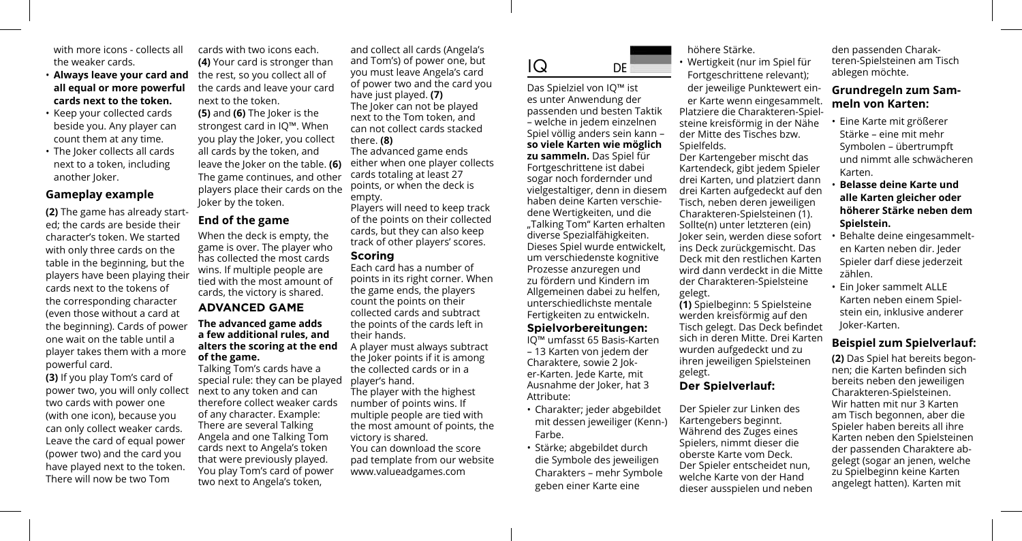with more icons - collects all the weaker cards.

- **Always leave your card and**  the rest, so you collect all of **all equal or more powerful cards next to the token.**
- Keep your collected cards beside you. Any player can count them at any time.
- The Joker collects all cards next to a token, including another Joker.

#### **Gameplay example**

**(2)** The game has already started; the cards are beside their character's token. We started with only three cards on the table in the beginning, but the players have been playing their cards next to the tokens of the corresponding character (even those without a card at the beginning). Cards of power one wait on the table until a player takes them with a more powerful card.

**(3)** If you play Tom's card of power two, you will only collect two cards with power one (with one icon), because you can only collect weaker cards. Leave the card of equal power (power two) and the card you have played next to the token. There will now be two Tom

cards with two icons each. **(4)** Your card is stronger than the cards and leave your card next to the token.

**(5)** and **(6)** The Joker is the strongest card in IQ™. When you play the Joker, you collect all cards by the token, and leave the Joker on the table. **(6)**  The game continues, and other players place their cards on the Joker by the token.

## **End of the game**

When the deck is empty, the game is over. The player who has collected the most cards wins. If multiple people are tied with the most amount of cards, the victory is shared.

## **ADVANCED GAME**

#### **The advanced game adds a few additional rules, and alters the scoring at the end of the game.**

Talking Tom's cards have a special rule: they can be played next to any token and can therefore collect weaker cards of any character. Example: There are several Talking Angela and one Talking Tom cards next to Angela's token that were previously played. You play Tom's card of power two next to Angela's token,

and collect all cards (Angela's and Tom's) of power one, but you must leave Angela's card of power two and the card you have just played. **(7)** The Joker can not be played next to the Tom token, and can not collect cards stacked there. **(8)** The advanced game ends either when one player collects cards totaling at least 27 points, or when the deck is empty.

Players will need to keep track of the points on their collected cards, but they can also keep track of other players' scores.

#### **Scoring**

Each card has a number of points in its right corner. When the game ends, the players count the points on their collected cards and subtract the points of the cards left in their hands.

A player must always subtract the Joker points if it is among the collected cards or in a player's hand.

The player with the highest number of points wins. If multiple people are tied with the most amount of points, the victory is shared.

You can download the score pad template from our website www.valueadgames.com

# IQ DE

Das Spielziel von IQ™ ist es unter Anwendung der passenden und besten Taktik – welche in jedem einzelnen Spiel völlig anders sein kann – **so viele Karten wie möglich zu sammeln.** Das Spiel für Fortgeschrittene ist dabei sogar noch fordernder und vielgestaltiger, denn in diesem haben deine Karten verschiedene Wertigkeiten, und die "Talking Tom" Karten erhalten diverse Spezialfähigkeiten. Dieses Spiel wurde entwickelt, um verschiedenste kognitive Prozesse anzuregen und zu fördern und Kindern im Allgemeinen dabei zu helfen, unterschiedlichste mentale Fertigkeiten zu entwickeln.

#### **Spielvorbereitungen:**

IQ™ umfasst 65 Basis-Karten – 13 Karten von jedem der Charaktere, sowie 2 Joker-Karten. Jede Karte, mit Ausnahme der Joker, hat 3 Attribute:

- Charakter; jeder abgebildet mit dessen jeweiliger (Kenn-) Farbe.
- Stärke; abgebildet durch die Symbole des jeweiligen Charakters – mehr Symbole geben einer Karte eine

#### höhere Stärke.

• Wertigkeit (nur im Spiel für Fortgeschrittene relevant); der jeweilige Punktewert einer Karte wenn eingesammelt. Platziere die Charakteren-Spielsteine kreisförmig in der Nähe der Mitte des Tisches bzw. Spielfelds. Der Kartengeber mischt das

Kartendeck, gibt jedem Spieler drei Karten, und platziert dann drei Karten aufgedeckt auf den Tisch, neben deren jeweiligen Charakteren-Spielsteinen (1). Sollte(n) unter letzteren (ein) Joker sein, werden diese sofort ins Deck zurückgemischt. Das Deck mit den restlichen Karten wird dann verdeckt in die Mitte der Charakteren-Spielsteine gelegt.

**(1)** Spielbeginn: 5 Spielsteine werden kreisförmig auf den Tisch gelegt. Das Deck befindet sich in deren Mitte. Drei Karten wurden aufgedeckt und zu ihren jeweiligen Spielsteinen gelegt.

# **Der Spielverlauf:**

Der Spieler zur Linken des Kartengebers beginnt. Während des Zuges eines Spielers, nimmt dieser die oberste Karte vom Deck. Der Spieler entscheidet nun, welche Karte von der Hand dieser ausspielen und neben den passenden Charakteren-Spielsteinen am Tisch ablegen möchte.

## **Grundregeln zum Sammeln von Karten:**

- Eine Karte mit größerer Stärke – eine mit mehr Symbolen – übertrumpft und nimmt alle schwächeren Karten.
- **Belasse deine Karte und alle Karten gleicher oder höherer Stärke neben dem Spielstein.**
- Behalte deine eingesammelten Karten neben dir. Jeder Spieler darf diese jederzeit zählen.
- Ein Joker sammelt ALLE Karten neben einem Spielstein ein, inklusive anderer Joker-Karten.

## **Beispiel zum Spielverlauf:**

**(2)** Das Spiel hat bereits begonnen; die Karten befinden sich bereits neben den jeweiligen Charakteren-Spielsteinen. Wir hatten mit nur 3 Karten am Tisch begonnen, aber die Spieler haben bereits all ihre Karten neben den Spielsteinen der passenden Charaktere abgelegt (sogar an jenen, welche zu Spielbeginn keine Karten angelegt hatten). Karten mit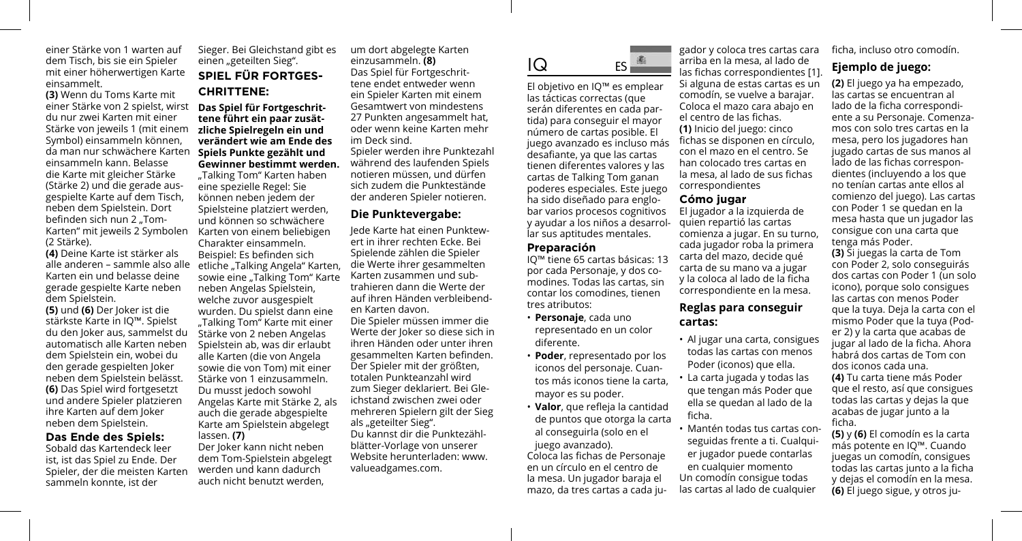einer Stärke von 1 warten auf dem Tisch, bis sie ein Spieler mit einer höherwertigen Karte einsammelt.

**(3)** Wenn du Toms Karte mit einer Stärke von 2 spielst, wirst **Das Spiel für Fortgeschrit**du nur zwei Karten mit einer Stärke von jeweils 1 (mit einem Symbol) einsammeln können, da man nur schwächere Karten einsammeln kann. Belasse die Karte mit gleicher Stärke (Stärke 2) und die gerade ausgespielte Karte auf dem Tisch, neben dem Spielstein. Dort befinden sich nun 2 "Tom-Karten" mit jeweils 2 Symbolen Karten von einem beliebigen (2 Stärke).

**(4)** Deine Karte ist stärker als Karten ein und belasse deine gerade gespielte Karte neben dem Spielstein.

**(5)** und **(6)** Der Joker ist die stärkste Karte in IQ™. Spielst du den Joker aus, sammelst du automatisch alle Karten neben dem Spielstein ein, wobei du den gerade gespielten Joker neben dem Spielstein belässt. **(6)** Das Spiel wird fortgesetzt und andere Spieler platzieren ihre Karten auf dem Joker neben dem Spielstein.

#### **Das Ende des Spiels:**

Sobald das Kartendeck leer ist, ist das Spiel zu Ende. Der Spieler, der die meisten Karten sammeln konnte, ist der

Sieger. Bei Gleichstand gibt es einen "geteilten Sieg". **SPIEL FÜR FORTGES-CHRITTENE:**

## **tene führt ein paar zusätzliche Spielregeln ein und verändert wie am Ende des Spiels Punkte gezählt und Gewinner bestimmt werden.**

alle anderen – sammle also alle etliche "Talking Angela" Karten, "Talking Tom" Karten haben eine spezielle Regel: Sie können neben jedem der Spielsteine platziert werden, und können so schwächere Charakter einsammeln. Beispiel: Es befinden sich sowie eine "Talking Tom" Karte neben Angelas Spielstein, welche zuvor ausgespielt wurden. Du spielst dann eine "Talking Tom" Karte mit einer Stärke von 2 neben Angelas Spielstein ab, was dir erlaubt alle Karten (die von Angela sowie die von Tom) mit einer Stärke von 1 einzusammeln. Du musst jedoch sowohl Angelas Karte mit Stärke 2, als auch die gerade abgespielte Karte am Spielstein abgelegt lassen. **(7)**

Der Joker kann nicht neben dem Tom-Spielstein abgelegt werden und kann dadurch auch nicht benutzt werden,

um dort abgelegte Karten einzusammeln. **(8)** Das Spiel für Fortgeschrittene endet entweder wenn ein Spieler Karten mit einem Gesamtwert von mindestens 27 Punkten angesammelt hat, oder wenn keine Karten mehr im Deck sind.

Spieler werden ihre Punktezahl während des laufenden Spiels notieren müssen, und dürfen sich zudem die Punktestände der anderen Spieler notieren.

## **Die Punktevergabe:**

Jede Karte hat einen Punktewert in ihrer rechten Ecke. Bei Spielende zählen die Spieler die Werte ihrer gesammelten Karten zusammen und subtrahieren dann die Werte der auf ihren Händen verbleibenden Karten davon.

Die Spieler müssen immer die Werte der Joker so diese sich in ihren Händen oder unter ihren gesammelten Karten befinden. Der Spieler mit der größten, totalen Punkteanzahl wird zum Sieger deklariert. Bei Gleichstand zwischen zwei oder mehreren Spielern gilt der Sieg als "geteilter Sieg". Du kannst dir die Punktezählblätter-Vorlage von unserer Website herunterladen: www. valueadgames.com.

IQ ES

El objetivo en IQ™ es emplear las tácticas correctas (que serán diferentes en cada partida) para conseguir el mayor número de cartas posible. El juego avanzado es incluso más desafiante, ya que las cartas tienen diferentes valores y las cartas de Talking Tom ganan poderes especiales. Este juego ha sido diseñado para englobar varios procesos cognitivos y ayudar a los niños a desarrollar sus aptitudes mentales.

#### **Preparación**

IQ™ tiene 65 cartas básicas: 13 por cada Personaje, y dos comodines. Todas las cartas, sin contar los comodines, tienen tres atributos:

- **Personaje**, cada uno representado en un color diferente.
- **Poder**, representado por los iconos del personaje. Cuantos más iconos tiene la carta, mayor es su poder.
- **Valor**, que refleja la cantidad de puntos que otorga la carta al conseguirla (solo en el juego avanzado).

Coloca las fichas de Personaje en un círculo en el centro de la mesa. Un jugador baraja el mazo, da tres cartas a cada ju-

gador y coloca tres cartas cara arriba en la mesa, al lado de las fichas correspondientes [1]. Si alguna de estas cartas es un comodín, se vuelve a barajar. Coloca el mazo cara abajo en el centro de las fichas. **(1)** Inicio del juego: cinco fichas se disponen en círculo, con el mazo en el centro. Se han colocado tres cartas en la mesa, al lado de sus fichas correspondientes

#### **Cómo jugar**

El jugador a la izquierda de quien repartió las cartas comienza a jugar. En su turno, cada jugador roba la primera carta del mazo, decide qué carta de su mano va a jugar y la coloca al lado de la ficha correspondiente en la mesa.

#### **Reglas para conseguir cartas:**

- Al jugar una carta, consigues todas las cartas con menos Poder (iconos) que ella.
- La carta jugada y todas las que tengan más Poder que ella se quedan al lado de la ficha.
- Mantén todas tus cartas conseguidas frente a ti. Cualquier jugador puede contarlas en cualquier momento Un comodín consigue todas las cartas al lado de cualquier

ficha, incluso otro comodín.

# **Ejemplo de juego:**

**(2)** El juego ya ha empezado, las cartas se encuentran al lado de la ficha correspondiente a su Personaje. Comenzamos con solo tres cartas en la mesa, pero los jugadores han jugado cartas de sus manos al lado de las fichas correspondientes (incluyendo a los que no tenían cartas ante ellos al comienzo del juego). Las cartas con Poder 1 se quedan en la mesa hasta que un jugador las consigue con una carta que tenga más Poder.

**(3)** Si juegas la carta de Tom con Poder 2, solo conseguirás dos cartas con Poder 1 (un solo icono), porque solo consigues las cartas con menos Poder que la tuya. Deja la carta con el mismo Poder que la tuya (Poder 2) y la carta que acabas de jugar al lado de la ficha. Ahora habrá dos cartas de Tom con dos iconos cada una. **(4)** Tu carta tiene más Poder que el resto, así que consigues todas las cartas y dejas la que acabas de jugar junto a la ficha.

**(5)** y **(6)** El comodín es la carta más potente en IQ™. Cuando juegas un comodín, consigues todas las cartas junto a la ficha y dejas el comodín en la mesa. **(6)** El juego sigue, y otros ju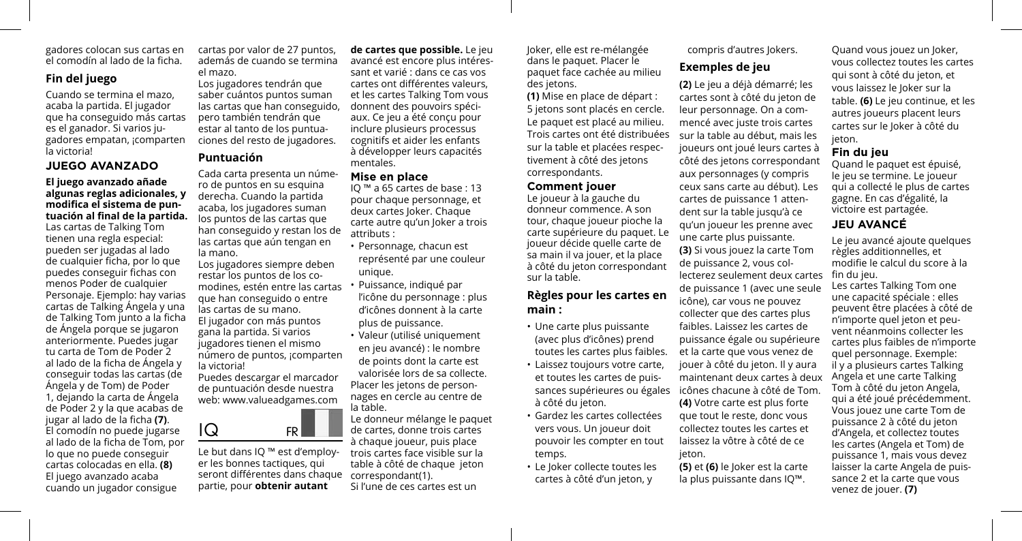gadores colocan sus cartas en el comodín al lado de la ficha.

# **Fin del juego**

Cuando se termina el mazo, acaba la partida. El jugador que ha conseguido más cartas es el ganador. Si varios jugadores empatan, ¡comparten la victoria!

### **JUEGO AVANZADO**

**El juego avanzado añade algunas reglas adicionales, y modifica el sistema de puntuación al final de la partida.**  Las cartas de Talking Tom tienen una regla especial: pueden ser jugadas al lado de cualquier ficha, por lo que puedes conseguir fichas con menos Poder de cualquier Personaje. Ejemplo: hay varias cartas de Talking Ángela y una de Talking Tom junto a la ficha de Ángela porque se jugaron anteriormente. Puedes jugar tu carta de Tom de Poder 2 al lado de la ficha de Ángela y conseguir todas las cartas (de Ángela y de Tom) de Poder 1, dejando la carta de Ángela de Poder 2 y la que acabas de jugar al lado de la ficha **(7)**. El comodín no puede jugarse al lado de la ficha de Tom, por lo que no puede conseguir cartas colocadas en ella. **(8)** El juego avanzado acaba cuando un jugador consigue

cartas por valor de 27 puntos, además de cuando se termina el mazo. Los jugadores tendrán que

saber cuántos puntos suman las cartas que han conseguido, pero también tendrán que estar al tanto de los puntuaciones del resto de jugadores.

# **Puntuación**

Cada carta presenta un número de puntos en su esquina derecha. Cuando la partida acaba, los jugadores suman los puntos de las cartas que han conseguido y restan los de las cartas que aún tengan en la mano.

Los jugadores siempre deben restar los puntos de los comodines, estén entre las cartas que han conseguido o entre las cartas de su mano. El jugador con más puntos gana la partida. Si varios jugadores tienen el mismo número de puntos, ¡comparten la victoria!

Puedes descargar el marcador de puntuación desde nuestra web: www.valueadgames.com



Le but dans IQ ™ est d'employer les bonnes tactiques, qui seront différentes dans chaque partie, pour **obtenir autant** 

**de cartes que possible.** Le jeu avancé est encore plus intéressant et varié : dans ce cas vos cartes ont différentes valeurs, et les cartes Talking Tom vous donnent des pouvoirs spéciaux. Ce jeu a été conçu pour inclure plusieurs processus cognitifs et aider les enfants à développer leurs capacités mentales.

## **Mise en place**

IQ ™ a 65 cartes de base : 13 pour chaque personnage, et deux cartes Joker. Chaque carte autre qu'un Joker a trois attributs :

- Personnage, chacun est représenté par une couleur unique.
- Puissance, indiqué par l'icône du personnage : plus d'icônes donnent à la carte plus de puissance.
- Valeur (utilisé uniquement en jeu avancé) : le nombre de points dont la carte est valorisée lors de sa collecte. Placer les jetons de personnages en cercle au centre de la table.

Le donneur mélange le paquet de cartes, donne trois cartes à chaque joueur, puis place trois cartes face visible sur la table à côté de chaque jeton correspondant(1). Si l'une de ces cartes est un

Joker, elle est re-mélangée dans le paquet. Placer le paquet face cachée au milieu des jetons.

**(1)** Mise en place de départ : 5 jetons sont placés en cercle. Le paquet est placé au milieu. Trois cartes ont été distribuées sur la table et placées respectivement à côté des jetons correspondants.

#### **Comment jouer**

Le joueur à la gauche du donneur commence. A son tour, chaque joueur pioche la carte supérieure du paquet. Le joueur décide quelle carte de sa main il va jouer, et la place à côté du jeton correspondant sur la table.

# **Règles pour les cartes en main :**

- Une carte plus puissante (avec plus d'icônes) prend toutes les cartes plus faibles.
- Laissez toujours votre carte, et toutes les cartes de puissances supérieures ou égales à côté du jeton.
- Gardez les cartes collectées vers vous. Un joueur doit pouvoir les compter en tout temps.
- Le Joker collecte toutes les cartes à côté d'un jeton, y

compris d'autres Jokers.

# **Exemples de jeu**

**(2)** Le jeu a déjà démarré; les cartes sont à côté du jeton de leur personnage. On a commencé avec juste trois cartes sur la table au début, mais les joueurs ont joué leurs cartes à côté des jetons correspondant aux personnages (y compris ceux sans carte au début). Les cartes de puissance 1 attendent sur la table jusqu'à ce qu'un joueur les prenne avec une carte plus puissante. **(3)** Si vous jouez la carte Tom de puissance 2, vous collecterez seulement deux cartes de puissance 1 (avec une seule icône), car vous ne pouvez collecter que des cartes plus faibles. Laissez les cartes de puissance égale ou supérieure et la carte que vous venez de jouer à côté du jeton. Il y aura maintenant deux cartes à deux icônes chacune à côté de Tom. **(4)** Votre carte est plus forte que tout le reste, donc vous collectez toutes les cartes et laissez la vôtre à côté de ce jeton.

**(5)** et **(6)** le Joker est la carte la plus puissante dans IQ™.

Quand vous jouez un Joker, vous collectez toutes les cartes qui sont à côté du jeton, et vous laissez le Joker sur la table. **(6)** Le jeu continue, et les autres joueurs placent leurs cartes sur le Joker à côté du jeton.

## **Fin du jeu**

Quand le paquet est épuisé, le jeu se termine. Le joueur qui a collecté le plus de cartes gagne. En cas d'égalité, la victoire est partagée.

# **JEU AVANCÉ**

Le jeu avancé ajoute quelques règles additionnelles, et modifie le calcul du score à la fin du jeu.

Les cartes Talking Tom one une capacité spéciale : elles peuvent être placées à côté de n'importe quel jeton et peuvent néanmoins collecter les cartes plus faibles de n'importe quel personnage. Exemple: il y a plusieurs cartes Talking Angela et une carte Talking Tom à côté du jeton Angela, qui a été joué précédemment. Vous jouez une carte Tom de puissance 2 à côté du jeton d'Angela, et collectez toutes les cartes (Angela et Tom) de puissance 1, mais vous devez laisser la carte Angela de puissance 2 et la carte que vous venez de jouer. **(7)**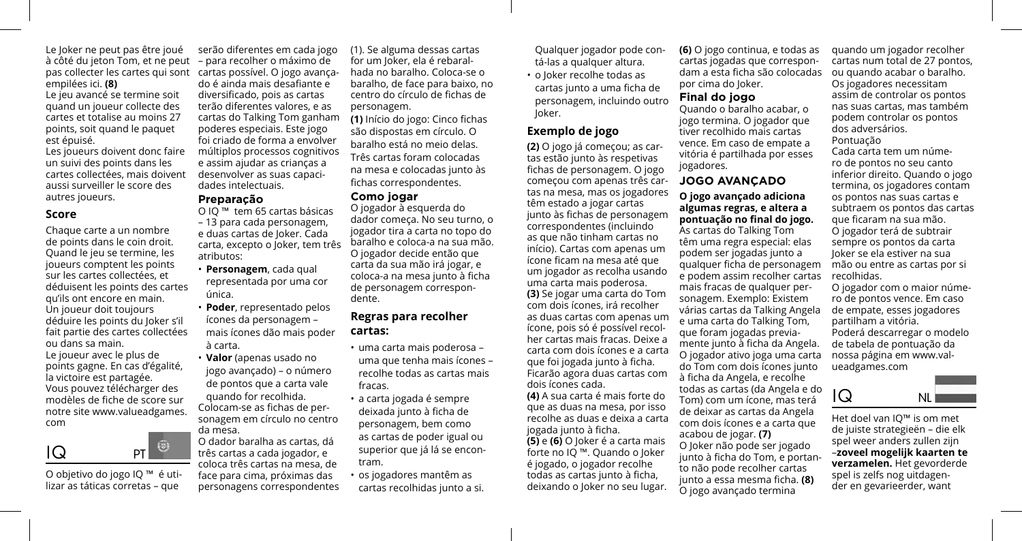Le Joker ne peut pas être joué à côté du jeton Tom, et ne peut pas collecter les cartes qui sont cartas possível. O jogo avançaempilées ici. **(8)**

Le jeu avancé se termine soit quand un joueur collecte des cartes et totalise au moins 27 points, soit quand le paquet est épuisé.

Les joueurs doivent donc faire un suivi des points dans les cartes collectées, mais doivent aussi surveiller le score des autres joueurs.

#### **Score**

Chaque carte a un nombre de points dans le coin droit. Quand le jeu se termine, les joueurs comptent les points sur les cartes collectées, et déduisent les points des cartes qu'ils ont encore en main. Un joueur doit toujours déduire les points du Joker s'il fait partie des cartes collectées ou dans sa main.

Le joueur avec le plus de points gagne. En cas d'égalité, la victoire est partagée. Vous pouvez télécharger des modèles de fiche de score sur notre site www.valueadgames. com



O objetivo do jogo IQ ™ é utilizar as táticas corretas – que

serão diferentes em cada jogo – para recolher o máximo de do é ainda mais desafiante e diversificado, pois as cartas terão diferentes valores, e as cartas do Talking Tom ganham poderes especiais. Este jogo foi criado de forma a envolver múltiplos processos cognitivos e assim ajudar as crianças a desenvolver as suas capacidades intelectuais.

#### **Preparação**

O IQ ™ tem 65 cartas básicas – 13 para cada personagem, e duas cartas de Joker. Cada carta, excepto o Joker, tem três atributos:

- **Personagem**, cada qual representada por uma cor única.
- **Poder**, representado pelos ícones da personagem – mais ícones dão mais poder à carta.
- **Valor** (apenas usado no jogo avançado) – o número de pontos que a carta vale quando for recolhida.
- Colocam-se as fichas de personagem em círculo no centro da mesa.

O dador baralha as cartas, dá três cartas a cada jogador, e coloca três cartas na mesa, de face para cima, próximas das personagens correspondentes (1). Se alguma dessas cartas for um Joker, ela é rebaralhada no baralho. Coloca-se o baralho, de face para baixo, no centro do círculo de fichas de personagem.

**(1)** Início do jogo: Cinco fichas são dispostas em círculo. O baralho está no meio delas. Três cartas foram colocadas na mesa e colocadas junto às fichas correspondentes.

#### **Como jogar**

O jogador à esquerda do dador começa. No seu turno, o jogador tira a carta no topo do baralho e coloca-a na sua mão. O jogador decide então que carta da sua mão irá jogar, e coloca-a na mesa junto à ficha de personagem correspondente.

## **Regras para recolher cartas:**

- uma carta mais poderosa uma que tenha mais ícones – recolhe todas as cartas mais fracas.
- a carta jogada é sempre deixada junto à ficha de personagem, bem como as cartas de poder igual ou superior que já lá se encontram.
- os jogadores mantêm as cartas recolhidas junto a si.

Qualquer jogador pode contá-las a qualquer altura.

• o Joker recolhe todas as cartas junto a uma ficha de personagem, incluindo outro Joker.

## **Exemplo de jogo**

**(2)** O jogo já começou; as cartas estão junto às respetivas fichas de personagem. O jogo começou com apenas três cartas na mesa, mas os jogadores têm estado a jogar cartas junto às fichas de personagem correspondentes (incluindo as que não tinham cartas no início). Cartas com apenas um ícone ficam na mesa até que um jogador as recolha usando uma carta mais poderosa. **(3)** Se jogar uma carta do Tom com dois ícones, irá recolher as duas cartas com apenas um ícone, pois só é possível recolher cartas mais fracas. Deixe a carta com dois ícones e a carta que foi jogada junto à ficha. Ficarão agora duas cartas com dois ícones cada.

**(4)** A sua carta é mais forte do que as duas na mesa, por isso recolhe as duas e deixa a carta jogada junto à ficha.

**(5)** e **(6)** O Joker é a carta mais forte no IQ ™. Quando o Joker é jogado, o jogador recolhe todas as cartas junto à ficha, deixando o Joker no seu lugar.

**(6)** O jogo continua, e todas as cartas jogadas que correspondam a esta ficha são colocadas por cima do Joker.

## **Final do jogo**

Quando o baralho acabar, o jogo termina. O jogador que tiver recolhido mais cartas vence. Em caso de empate a vitória é partilhada por esses jogadores.

# **JOGO AVANÇADO**

#### **O jogo avançado adiciona algumas regras, e altera a pontuação no final do jogo.**

As cartas do Talking Tom têm uma regra especial: elas podem ser jogadas junto a qualquer ficha de personagem e podem assim recolher cartas mais fracas de qualquer personagem. Exemplo: Existem várias cartas da Talking Angela e uma carta do Talking Tom, que foram jogadas previamente junto à ficha da Angela. O jogador ativo joga uma carta do Tom com dois ícones junto à ficha da Angela, e recolhe todas as cartas (da Angela e do Tom) com um ícone, mas terá de deixar as cartas da Angela com dois ícones e a carta que acabou de jogar. **(7)** O Joker não pode ser jogado junto à ficha do Tom, e portanto não pode recolher cartas junto a essa mesma ficha. **(8)** O jogo avançado termina

quando um jogador recolher cartas num total de 27 pontos, ou quando acabar o baralho. Os jogadores necessitam assim de controlar os pontos nas suas cartas, mas também podem controlar os pontos dos adversários. Pontuação

Cada carta tem um número de pontos no seu canto inferior direito. Quando o jogo termina, os jogadores contam os pontos nas suas cartas e subtraem os pontos das cartas que ficaram na sua mão. O jogador terá de subtrair sempre os pontos da carta Joker se ela estiver na sua mão ou entre as cartas por si recolhidas.

O jogador com o maior número de pontos vence. Em caso de empate, esses jogadores partilham a vitória. Poderá descarregar o modelo de tabela de pontuação da nossa página em www.valueadgames.com



Het doel van IQ™ is om met de juiste strategieën – die elk spel weer anders zullen zijn –**zoveel mogelijk kaarten te verzamelen.** Het gevorderde spel is zelfs nog uitdagender en gevarieerder, want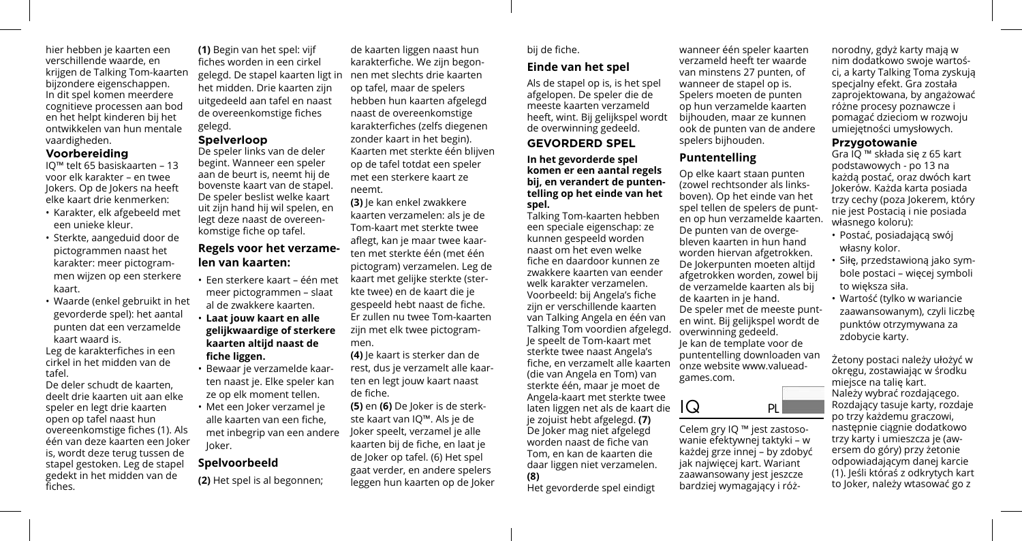hier hebben je kaarten een verschillende waarde, en krijgen de Talking Tom-kaarten bijzondere eigenschappen. In dit spel komen meerdere cognitieve processen aan bod en het helpt kinderen bij het ontwikkelen van hun mentale vaardigheden.

#### **Voorbereiding**

IQ™ telt 65 basiskaarten – 13 voor elk karakter – en twee Jokers. Op de Jokers na heeft elke kaart drie kenmerken:

- Karakter, elk afgebeeld met een unieke kleur.
- Sterkte, aangeduid door de pictogrammen naast het karakter: meer pictogrammen wijzen op een sterkere kaart.
- Waarde (enkel gebruikt in het gevorderde spel): het aantal punten dat een verzamelde kaart waard is.

Leg de karakterfiches in een cirkel in het midden van de tafel.

De deler schudt de kaarten, deelt drie kaarten uit aan elke speler en legt drie kaarten open op tafel naast hun overeenkomstige fiches (1). Als één van deze kaarten een Joker is, wordt deze terug tussen de stapel gestoken. Leg de stapel gedekt in het midden van de fiches.

**(1)** Begin van het spel: vijf fiches worden in een cirkel gelegd. De stapel kaarten ligt in het midden. Drie kaarten zijn uitgedeeld aan tafel en naast de overeenkomstige fiches gelegd.

# **Spelverloop**

De speler links van de deler begint. Wanneer een speler aan de beurt is, neemt hij de bovenste kaart van de stapel. De speler beslist welke kaart uit zijn hand hij wil spelen, en legt deze naast de overeenkomstige fiche op tafel.

# **Regels voor het verzamelen van kaarten:**

- Een sterkere kaart één met meer pictogrammen – slaat al de zwakkere kaarten.
- **Laat jouw kaart en alle gelijkwaardige of sterkere kaarten altijd naast de fiche liggen.**
- Bewaar je verzamelde kaarten naast je. Elke speler kan ze op elk moment tellen.
- Met een Joker verzamel je alle kaarten van een fiche, met inbegrip van een andere Joker.

# **Spelvoorbeeld**

**(2)** Het spel is al begonnen;

de kaarten liggen naast hun karakterfiche. We zijn begonnen met slechts drie kaarten op tafel, maar de spelers hebben hun kaarten afgelegd naast de overeenkomstige karakterfiches (zelfs diegenen zonder kaart in het begin). Kaarten met sterkte één blijven op de tafel totdat een speler met een sterkere kaart ze neemt.

**(3)** Je kan enkel zwakkere kaarten verzamelen: als je de Tom-kaart met sterkte twee aflegt, kan je maar twee kaarten met sterkte één (met één pictogram) verzamelen. Leg de kaart met gelijke sterkte (sterkte twee) en de kaart die je gespeeld hebt naast de fiche. Er zullen nu twee Tom-kaarten zijn met elk twee pictogrammen.

**(4)** Je kaart is sterker dan de rest, dus je verzamelt alle kaarten en legt jouw kaart naast de fiche.

**(5)** en **(6)** De Joker is de sterkste kaart van IQ™. Als je de Joker speelt, verzamel je alle kaarten bij de fiche, en laat je de Joker op tafel. (6) Het spel gaat verder, en andere spelers leggen hun kaarten op de Joker

## bij de fiche.

# **Einde van het spel**

Als de stapel op is, is het spel afgelopen. De speler die de meeste kaarten verzameld heeft, wint. Bij gelijkspel wordt de overwinning gedeeld.

**GEVORDERD SPEL**

#### **In het gevorderde spel komen er een aantal regels bij, en verandert de puntentelling op het einde van het spel.**

Talking Tom-kaarten hebben een speciale eigenschap: ze kunnen gespeeld worden naast om het even welke fiche en daardoor kunnen ze zwakkere kaarten van eender welk karakter verzamelen. Voorbeeld: bij Angela's fiche zijn er verschillende kaarten van Talking Angela en één van Talking Tom voordien afgelegd. Je speelt de Tom-kaart met sterkte twee naast Angela's fiche, en verzamelt alle kaarten (die van Angela en Tom) van sterkte één, maar je moet de Angela-kaart met sterkte twee laten liggen net als de kaart die je zojuist hebt afgelegd. **(7)** De Joker mag niet afgelegd worden naast de fiche van Tom, en kan de kaarten die daar liggen niet verzamelen. **(8)**

Het gevorderde spel eindigt

wanneer één speler kaarten verzameld heeft ter waarde van minstens 27 punten, of wanneer de stapel op is. Spelers moeten de punten op hun verzamelde kaarten bijhouden, maar ze kunnen ook de punten van de andere spelers bijhouden.

# **Puntentelling**

Op elke kaart staan punten (zowel rechtsonder als linksboven). Op het einde van het spel tellen de spelers de punten op hun verzamelde kaarten. De punten van de overgebleven kaarten in hun hand worden hiervan afgetrokken. De Jokerpunten moeten altijd afgetrokken worden, zowel bij de verzamelde kaarten als bij de kaarten in je hand. De speler met de meeste punten wint. Bij gelijkspel wordt de overwinning gedeeld. Je kan de template voor de puntentelling downloaden van onze website www.valueadgames.com.



Celem gry IQ ™ jest zastosowanie efektywnej taktyki – w każdej grze innej – by zdobyć jak najwięcej kart. Wariant zaawansowany jest jeszcze bardziej wymagający i róż-

norodny, gdyż karty mają w nim dodatkowo swoje wartości, a karty Talking Toma zyskują specjalny efekt. Gra została zaprojektowana, by angażować różne procesy poznawcze i pomagać dzieciom w rozwoju umiejętności umysłowych.

#### **Przygotowanie**

Gra IQ ™ składa się z 65 kart podstawowych - po 13 na każdą postać, oraz dwóch kart Jokerów. Każda karta posiada trzy cechy (poza Jokerem, który nie jest Postacią i nie posiada własnego koloru):

- Postać, posiadającą swój własny kolor.
- Siłę, przedstawioną jako symbole postaci – więcej symboli to większa siła.
- Wartość (tylko w wariancie zaawansowanym), czyli liczbę punktów otrzymywana za zdobycie karty.

Żetony postaci należy ułożyć w okręgu, zostawiając w środku miejsce na talię kart. Należy wybrać rozdającego. Rozdający tasuje karty, rozdaje po trzy każdemu graczowi, następnie ciągnie dodatkowo trzy karty i umieszcza je (awersem do góry) przy żetonie odpowiadającym danej karcie (1). Jeśli któraś z odkrytych kart to Joker, należy wtasować go z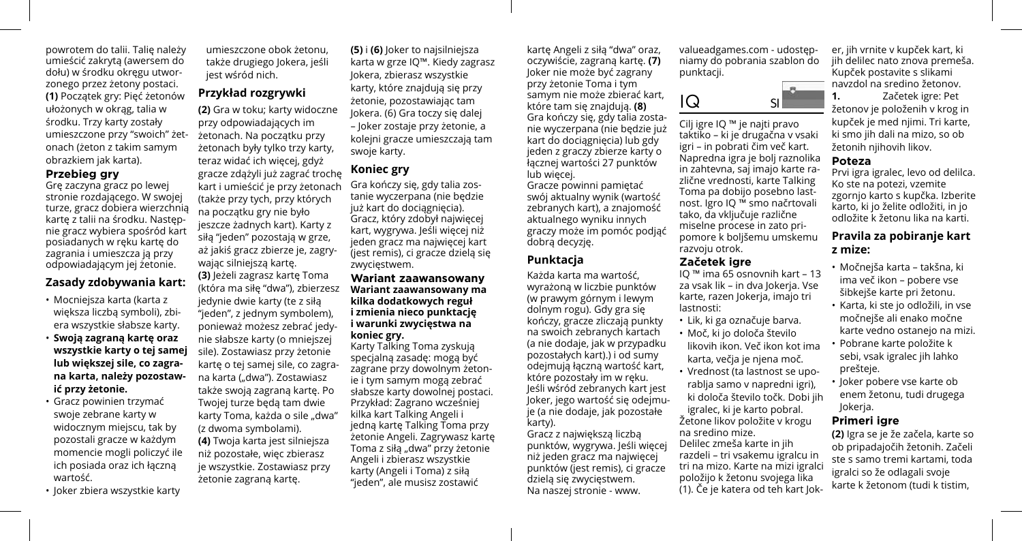powrotem do talii. Talię należy umieścić zakrytą (awersem do dołu) w środku okręgu utworzonego przez żetony postaci. **(1)** Początek gry: Pięć żetonów ułożonych w okrąg, talia w środku. Trzy karty zostały umieszczone przy "swoich" żetonach (żeton z takim samym obrazkiem jak karta).

#### **Przebieg gry**

Grę zaczyna gracz po lewej stronie rozdającego. W swojej turze, gracz dobiera wierzchnią kartę z talii na środku. Następnie gracz wybiera spośród kart posiadanych w ręku kartę do zagrania i umieszcza ją przy odpowiadającym jej żetonie.

## **Zasady zdobywania kart:**

- Mocniejsza karta (karta z większa liczbą symboli), zbiera wszystkie słabsze karty.
- **Swoją zagraną kartę oraz wszystkie karty o tej samej lub większej sile, co zagrana karta, należy pozostawić przy żetonie.**
- Gracz powinien trzymać swoje zebrane karty w widocznym miejscu, tak by pozostali gracze w każdym momencie mogli policzyć ile ich posiada oraz ich łączną wartość.
- Joker zbiera wszystkie karty

umieszczone obok żetonu, także drugiego Jokera, jeśli jest wśród nich.

# **Przykład rozgrywki**

**(2)** Gra w toku; karty widoczne przy odpowiadających im żetonach. Na początku przy żetonach były tylko trzy karty, teraz widać ich więcej, gdyż gracze zdążyli już zagrać trochę kart i umieścić je przy żetonach (także przy tych, przy których na początku gry nie było jeszcze żadnych kart). Karty z siłą "jeden" pozostają w grze, aż jakiś gracz zbierze je, zagrywając silniejszą kartę. **(3)** Jeżeli zagrasz kartę Toma (która ma siłę "dwa"), zbierzesz jedynie dwie karty (te z siłą "jeden", z jednym symbolem), ponieważ możesz zebrać jedynie słabsze karty (o mniejszej sile). Zostawiasz przy żetonie kartę o tej samej sile, co zagrana karta ("dwa"). Zostawiasz także swoją zagraną kartę. Po Twojej turze będą tam dwie karty Toma, każda o sile "dwa" (z dwoma symbolami). **(4)** Twoja karta jest silniejsza niż pozostałe, więc zbierasz je wszystkie. Zostawiasz przy żetonie zagraną kartę.

**(5)** i **(6)** Joker to najsilniejsza karta w grze IQ™. Kiedy zagrasz Jokera, zbierasz wszystkie karty, które znajdują się przy żetonie, pozostawiając tam Jokera. (6) Gra toczy się dalej – Joker zostaje przy żetonie, a kolejni gracze umieszczają tam swoje karty.

## **Koniec gry**

Gra kończy się, gdy talia zostanie wyczerpana (nie będzie już kart do dociągnięcia). Gracz, który zdobył najwięcej kart, wygrywa. Jeśli więcej niż jeden gracz ma najwięcej kart (jest remis), ci gracze dzielą się zwycięstwem.

#### **Wariant zaawansowany Wariant zaawansowany ma kilka dodatkowych reguł i zmienia nieco punktację i warunki zwycięstwa na koniec gry.**

Karty Talking Toma zyskują specjalną zasadę: mogą być zagrane przy dowolnym żetonie i tym samym mogą zebrać słabsze karty dowolnej postaci. Przykład: Zagrano wcześniej kilka kart Talking Angeli i jedną kartę Talking Toma przy żetonie Angeli. Zagrywasz kartę Toma z siłą "dwa" przy żetonie Angeli i zbierasz wszystkie karty (Angeli i Toma) z siłą "jeden", ale musisz zostawić

kartę Angeli z siłą "dwa" oraz, oczywiście, zagraną kartę. **(7)** Joker nie może być zagrany przy żetonie Toma i tym samym nie może zbierać kart, które tam się znajdują. **(8)** Gra kończy się, gdy talia zostanie wyczerpana (nie będzie już kart do dociągnięcia) lub gdy jeden z graczy zbierze karty o łącznej wartości 27 punktów lub więcej.

Gracze powinni pamiętać swój aktualny wynik (wartość zebranych kart), a znajomość aktualnego wyniku innych graczy może im pomóc podjąć dobrą decyzję.

## **Punktacja**

Każda karta ma wartość, wyrażoną w liczbie punktów (w prawym górnym i lewym dolnym rogu). Gdy gra się kończy, gracze zliczają punkty na swoich zebranych kartach (a nie dodaje, jak w przypadku pozostałych kart).) i od sumy odejmują łączną wartość kart, które pozostały im w ręku. Jeśli wśród zebranych kart jest Joker, jego wartość się odejmuje (a nie dodaje, jak pozostałe karty).

Gracz z największą liczbą punktów, wygrywa. Jeśli więcej niż jeden gracz ma najwięcej punktów (jest remis), ci gracze dzielą się zwycięstwem. Na naszej stronie - www.

valueadgames.com - udostępniamy do pobrania szablon do punktacji.



Cilj igre IQ ™ je najti pravo taktiko – ki je drugačna v vsaki igri – in pobrati čim več kart. Napredna igra je bolj raznolika in zahtevna, saj imajo karte različne vrednosti, karte Talking Toma pa dobijo posebno lastnost. Igro IQ ™ smo načrtovali tako, da vključuje različne miselne procese in zato pripomore k boljšemu umskemu razvoju otrok.

#### **Začetek igre**

IQ ™ ima 65 osnovnih kart – 13 za vsak lik – in dva Jokerja. Vse karte, razen Jokerja, imajo tri lastnosti:

- Lik, ki ga označuje barva.
- Moč, ki jo določa število
- likovih ikon. Več ikon kot ima karta, večja je njena moč.
- Vrednost (ta lastnost se uporablia samo v napredni igri). ki določa število točk. Dobi jih

igralec, ki je karto pobral. Žetone likov položite v krogu

na sredino mize. Delilec zmeša karte in jih razdeli – tri vsakemu igralcu in tri na mizo. Karte na mizi igralci položijo k žetonu svojega lika (1). Če je katera od teh kart Jok-

er, jih vrnite v kupček kart, ki jih delilec nato znova premeša. Kupček postavite s slikami navzdol na sredino žetonov.

**1.** Začetek igre: Pet žetonov je položenih v krog in kupček je med njimi. Tri karte, ki smo jih dali na mizo, so ob žetonih nijhovih likov.

# **Poteza**

Prvi igra igralec, levo od delilca. Ko ste na potezi, vzemite zgornjo karto s kupčka. Izberite karto, ki jo želite odložiti, in jo odložite k žetonu lika na karti.

# **Pravila za pobiranje kart z mize:**

- Močnejša karta takšna, ki ima več ikon – pobere vse šibkejše karte pri žetonu.
- Karta, ki ste jo odložili, in vse močnejše ali enako močne karte vedno ostanejo na mizi.
- Pobrane karte položite k sebi, vsak igralec jih lahko prešteje.
- Joker pobere vse karte ob enem žetonu, tudi drugega Jokerja.

### **Primeri igre**

**(2)** Igra se je že začela, karte so ob pripadajočih žetonih. Začeli ste s samo tremi kartami, toda igralci so že odlagali svoje karte k žetonom (tudi k tistim,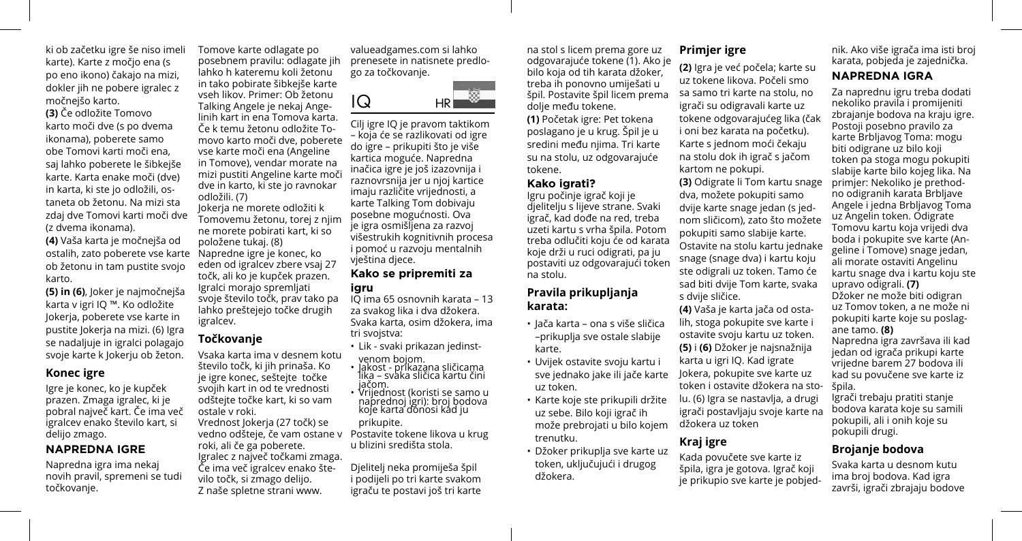ki ob začetku igre še niso imeli karte). Karte z močjo ena (s po eno ikono) čakajo na mizi, dokler jih ne pobere igralec z močnejšo karto.

**(3)** Če odložite Tomovo karto moči dve (s po dvema ikonama), poberete samo obe Tomovi karti moči ena, saj lahko poberete le šibkejše karte. Karta enake moči (dve) in karta, ki ste jo odložili, ostaneta ob žetonu. Na mizi sta zdaj dve Tomovi karti moči dve (z dvema ikonama).

**(4)** Vaša karta je močnejša od ostalih, zato poberete vse karte ob žetonu in tam pustite svojo karto.

**(5) in (6)**, Joker je najmočnejša karta v igri IQ ™. Ko odložite Jokerja, poberete vse karte in pustite Jokerja na mizi. (6) Igra se nadaljuje in igralci polagajo svoje karte k Jokerju ob žeton.

## **Konec igre**

Igre je konec, ko je kupček prazen. Zmaga igralec, ki je pobral največ kart. Če ima več igralcev enako število kart, si delijo zmago.

## **NAPREDNA IGRE**

Napredna igra ima nekaj novih pravil, spremeni se tudi točkovanje.

Tomove karte odlagate po posebnem pravilu: odlagate jih lahko h kateremu koli žetonu in tako pobirate šibkejše karte vseh likov. Primer: Ob žetonu Talking Angele je nekaj Angelinih kart in ena Tomova karta. Če k temu žetonu odložite Tomovo karto moči dve, poberete vse karte moči ena (Angeline in Tomove), vendar morate na mizi pustiti Angeline karte moči dve in karto, ki ste jo ravnokar odložili. (7) Jokerja ne morete odložiti k

Tomovemu žetonu, torej z njim ne morete pobirati kart, ki so položene tukaj. (8) Napredne igre je konec, ko eden od igralcev zbere vsaj 27 točk, ali ko je kupček prazen. Igralci morajo spremljati svoje število točk, prav tako pa lahko preštejejo točke drugih igralcev.

# **Točkovanje**

Vsaka karta ima v desnem kotu število točk, ki jih prinaša. Ko je igre konec, seštejte točke svojih kart in od te vrednosti odštejte točke kart, ki so vam ostale v roki. Vrednost Jokerja (27 točk) se vedno odšteje, če vam ostane v roki, ali če ga poberete. Igralec z največ točkami zmaga. Če ima več igralcev enako število točk, si zmago delijo. Z naše spletne strani www.

valueadgames.com si lahko prenesete in natisnete predlogo za točkovanje.

IQ HR

Cilj igre IQ je pravom taktikom – koja će se razlikovati od igre do igre – prikupiti što je više kartica moguće. Napredna inačica igre je još izazovnija i raznovrsnija jer u njoj kartice imaju različite vrijednosti, a karte Talking Tom dobivaju posebne mogućnosti. Ova je igra osmišljena za razvoj višestrukih kognitivnih procesa i pomoć u razvoju mentalnih

# **Kako se pripremiti za**

IQ ima 65 osnovnih karata – 13 za svakog lika i dva džokera. Svaka karta, osim džokera, ima tri svojstva:

- Lik svaki prikazan jedinst-
- venom bojom. Jakost prikazana sličicama lika svaka sličica kartu čini jačom.<br>• Vrijednost (koristi se samo u
- Vrijednost (koristi se samo <sup>u</sup> naprednoj igri): broj bodova koje karta donosi kad ju

prikupite. Postavite tokene likova u krug u blizini središta stola.

Djelitelj neka promiješa špil i podijeli po tri karte svakom igraču te postavi još tri karte na stol s licem prema gore uz odgovarajuće tokene (1). Ako je bilo koja od tih karata džoker, treba ih ponovno umiješati u špil. Postavite špil licem prema dolje među tokene.

**(1)** Početak igre: Pet tokena poslagano je u krug. Špil je u sredini među njima. Tri karte su na stolu, uz odgovarajuće tokene.

#### **Kako igrati?**

Igru počinje igrač koji je djelitelju s lijeve strane. Svaki igrač, kad dođe na red, treba uzeti kartu s vrha špila. Potom treba odlučiti koju će od karata koje drži u ruci odigrati, pa ju postaviti uz odgovarajući token na stolu.

## **Pravila prikupljanja karata:**

- Jača karta ona s više sličica –prikuplja sve ostale slabije karte.
- Uvijek ostavite svoju kartu i sve jednako jake ili jače karte uz token.
- Karte koje ste prikupili držite uz sebe. Bilo koji igrač ih može prebrojati u bilo kojem trenutku.
- Džoker prikuplja sve karte uz token, uključujući i drugog džokera.

# **Primjer igre**

**(2)** Igra je već počela; karte su uz tokene likova. Počeli smo sa samo tri karte na stolu, no igrači su odigravali karte uz tokene odgovarajućeg lika (čak i oni bez karata na početku). Karte s jednom moći čekaju na stolu dok ih igrač s jačom kartom ne pokupi. **(3)** Odigrate li Tom kartu snage

dva, možete pokupiti samo dvije karte snage jedan (s jednom sličicom), zato što možete pokupiti samo slabije karte. Ostavite na stolu kartu jednake snage (snage dva) i kartu koju ste odigrali uz token. Tamo će sad biti dvije Tom karte, svaka s dvije sličice.

**(4)** Vaša je karta jača od ostalih, stoga pokupite sve karte i ostavite svoju kartu uz token. **(5)** i **(6)** Džoker je najsnažnija karta u igri IQ. Kad igrate Jokera, pokupite sve karte uz token i ostavite džokera na stolu. (6) Igra se nastavlja, a drugi igrači postavljaju svoje karte na džokera uz token

# **Kraj igre**

Kada povučete sve karte iz špila, igra je gotova. Igrač koji je prikupio sve karte je pobjednik. Ako više igrača ima isti broj karata, pobjeda je zajednička.

## **NAPREDNA IGRA**

Za naprednu igru treba dodati nekoliko pravila i promijeniti zbrajanje bodova na kraju igre. Postoji posebno pravilo za karte Brbljavog Toma: mogu biti odigrane uz bilo koji token pa stoga mogu pokupiti slabije karte bilo kojeg lika. Na primjer: Nekoliko je prethodno odigranih karata Brbljave Angele i jedna Brbljavog Toma uz Angelin token. Odigrate Tomovu kartu koja vrijedi dva boda i pokupite sve karte (Angeline i Tomove) snage jedan, ali morate ostaviti Angelinu kartu snage dva i kartu koju ste upravo odigrali. **(7)** Džoker ne može biti odigran

uz Tomov token, a ne može ni pokupiti karte koje su poslagane tamo. **(8)**

Napredna igra završava ili kad jedan od igrača prikupi karte vrijedne barem 27 bodova ili kad su povučene sve karte iz špila.

Igrači trebaju pratiti stanje bodova karata koje su samili pokupili, ali i onih koje su pokupili drugi.

## **Brojanje bodova**

Svaka karta u desnom kutu ima broj bodova. Kad igra završi, igrači zbrajaju bodove

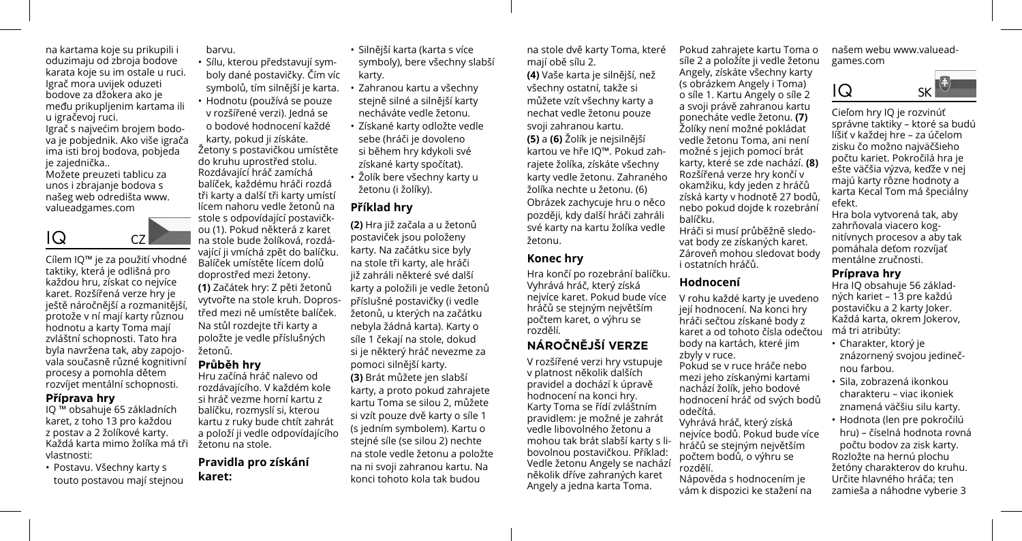na kartama koje su prikupili i oduzimaju od zbroja bodove karata koje su im ostale u ruci. Igrač mora uvijek oduzeti bodove za džokera ako je među prikupljenim kartama ili u igračevoj ruci.

Igrač s najvećim brojem bodova je pobjednik. Ako više igrača ima isti broj bodova, pobjeda ie zajednička..

Možete preuzeti tablicu za unos i zbrajanje bodova s našeg web odredišta www. valueadgames.com

# $IQ \t CZ$

Cílem IQ™ je za použití vhodné taktiky, která je odlišná pro každou hru, získat co nejvíce karet. Rozšířená verze hry je ještě náročnější a rozmanitější, protože v ní mají karty různou hodnotu a karty Toma mají zvláštní schopnosti. Tato hra byla navržena tak, aby zapojovala současně různé kognitivní procesy a pomohla dětem rozvíjet mentální schopnosti.

#### **Příprava hry**

IQ ™ obsahuje 65 základních karet, z toho 13 pro každou z postav a 2 žolíkové karty. Každá karta mimo žolíka má tři vlastnosti:

• Postavu. Všechny karty s touto postavou mají stejnou barvu.

• Sílu, kterou představují symboly dané postavičky. Čím víc symbolů, tím silnější je karta. • Hodnotu (používá se pouze v rozšířené verzi). Jedná se o bodové hodnocení každé karty, pokud ji získáte. Žetony s postavičkou umístěte do kruhu uprostřed stolu. Rozdávající hráč zamíchá balíček, každému hráči rozdá tři karty a další tři karty umístí lícem nahoru vedle žetonů na stole s odpovídající postavičkou (1). Pokud některá z karet

na stole bude žolíková, rozdávající ji vmíchá zpět do balíčku. Balíček umístěte lícem dolů doprostřed mezi žetony.

**(1)** Začátek hry: Z pěti žetonů vytvořte na stole kruh. Doprostřed mezi ně umístěte balíček. Na stůl rozdejte tři karty a položte je vedle příslušných žetonů.

# **Průběh hry**

Hru začíná hráč nalevo od rozdávajícího. V každém kole si hráč vezme horní kartu z balíčku, rozmyslí si, kterou kartu z ruky bude chtít zahrát a položí ji vedle odpovídajícího žetonu na stole.

# **Pravidla pro získání karet:**

• Silnější karta (karta s více symboly), bere všechny slabší karty.

- Zahranou kartu a všechny stejně silné a silnější karty necháváte vedle žetonu.
- Získané karty odložte vedle sebe (hráči je dovoleno si během hry kdykoli své získané karty spočítat).
- Žolík bere všechny karty u žetonu (i žolíky).

# **Příklad hry**

**(2)** Hra již začala a u žetonů postaviček jsou položeny karty. Na začátku sice byly na stole tři karty, ale hráči již zahráli některé své další karty a položili je vedle žetonů příslušné postavičky (i vedle žetonů, u kterých na začátku nebyla žádná karta). Karty o síle 1 čekají na stole, dokud si je některý hráč nevezme za pomoci silnější karty. **(3)** Brát můžete jen slabší karty, a proto pokud zahrajete kartu Toma se silou 2, můžete si vzít pouze dvě karty o síle 1 (s jedním symbolem). Kartu o stejné síle (se silou 2) nechte na stole vedle žetonu a položte na ni svoji zahranou kartu. Na konci tohoto kola tak budou

na stole dvě karty Toma, které mají obě sílu 2. **(4)** Vaše karta je silnější, než všechny ostatní, takže si můžete vzít všechny karty a nechat vedle žetonu pouze svoji zahranou kartu. **(5)** a **(6)** Žolík je nejsilnější kartou ve hře IQ™. Pokud zahrajete žolíka, získáte všechny karty vedle žetonu. Zahraného žolíka nechte u žetonu. (6) Obrázek zachycuje hru o něco později, kdy další hráči zahráli své karty na kartu žolíka vedle žetonu.

## **Konec hry**

Hra končí po rozebrání balíčku. Vyhrává hráč, který získá nejvíce karet. Pokud bude více hráčů se stejným největším počtem karet, o výhru se rozdělí.

# **NÁROČNĚJŠÍ VERZE**

V rozšířené verzi hry vstupuje v platnost několik dalších pravidel a dochází k úpravě hodnocení na konci hry. Karty Toma se řídí zvláštním pravidlem: je možné je zahrát vedle libovolného žetonu a mohou tak brát slabší karty s libovolnou postavičkou. Příklad: Vedle žetonu Angely se nachází několik dříve zahraných karet Angely a jedna karta Toma.

Pokud zahrajete kartu Toma o síle 2 a položíte ji vedle žetonu Angely, získáte všechny karty (s obrázkem Angely i Toma) o síle 1. Kartu Angely o síle 2 a svoji právě zahranou kartu ponecháte vedle žetonu. **(7)** Žolíky není možné pokládat vedle žetonu Toma, ani není možné s jejich pomocí brát karty, které se zde nachází. **(8)** Rozšířená verze hry končí v okamžiku, kdy jeden z hráčů získá karty v hodnotě 27 bodů, nebo pokud dojde k rozebrání balíčku.

Hráči si musí průběžně sledovat body ze získaných karet. Zároveň mohou sledovat body i ostatních hráčů.

# **Hodnocení**

V rohu každé karty je uvedeno její hodnocení. Na konci hry hráči sečtou získané body z karet a od tohoto čísla odečtou body na kartách, které jim zbyly v ruce.

Pokud se v ruce hráče nebo mezi jeho získanými kartami nachází žolík, jeho bodové hodnocení hráč od svých bodů odečítá.

Vyhrává hráč, který získá nejvíce bodů. Pokud bude více hráčů se stejným největším počtem bodů, o výhru se rozdělí.

Nápověda s hodnocením je vám k dispozici ke stažení na našem webu www.valueadgames.com

# $\overline{1}$

Cieľom hry IQ je rozvinúť správne taktiky – ktoré sa budú líšiť v každej hre – za účelom zisku čo možno najväčšieho počtu kariet. Pokročilá hra je ešte väčšia výzva, keďže v nej majú karty rôzne hodnoty a karta Kecal Tom má špeciálny efekt.

Hra bola vytvorená tak, aby zahrňovala viacero kognitívnych procesov a aby tak pomáhala deťom rozvíjať mentálne zručnosti.

#### **Príprava hry**

Hra IQ obsahuje 56 základných kariet – 13 pre každú postavičku a 2 karty Joker. Každá karta, okrem Jokerov, má tri atribúty:

- Charakter, ktorý je znázornený svojou jedinečnou farbou.
- Sila, zobrazená ikonkou charakteru – viac ikoniek znamená väčšiu silu karty.
- Hodnota (len pre pokročilú hru) – číselná hodnota rovná počtu bodov za zisk karty. Rozložte na hernú plochu žetóny charakterov do kruhu. Určite hlavného hráča; ten zamieša a náhodne vyberie 3

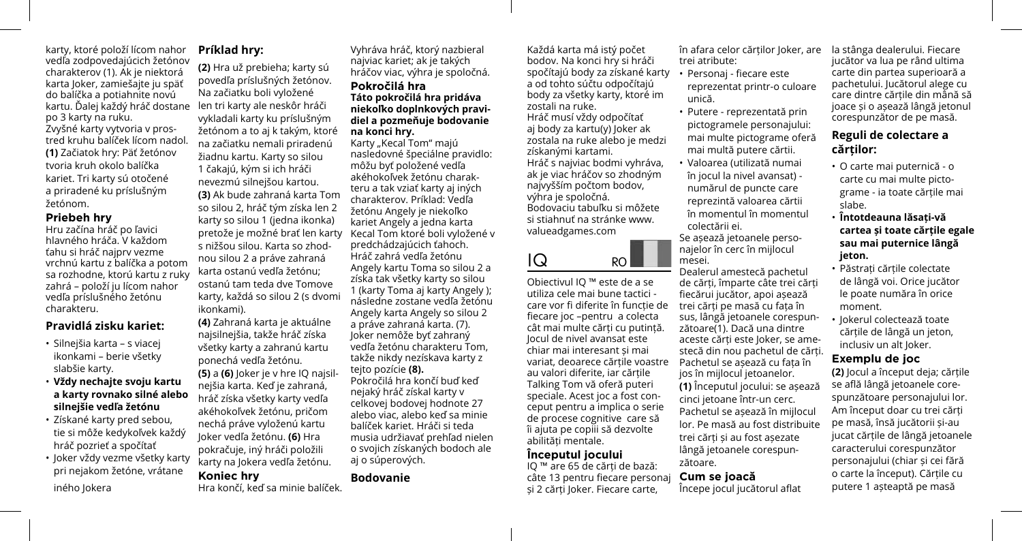karty, ktoré položí lícom nahor vedľa zodpovedajúcich žetónov charakterov (1). Ak je niektorá karta Joker, zamiešajte ju späť do balíčka a potiahnite novú kartu. Dalej každý hráč dostane len tri karty ale neskôr hráči po 3 karty na ruku. Zvyšné karty vytvoria v prostred kruhu balíček lícom nadol. **(1)** Začiatok hry: Päť žetónov tvoria kruh okolo balíčka kariet. Tri karty sú otočené a priradené ku príslušným žetónom.

#### **Priebeh hry**

Hru začína hráč po ľavici hlavného hráča. V každom ťahu si hráč najprv vezme vrchnú kartu z balíčka a potom sa rozhodne, ktorú kartu z ruky zahrá – položí ju lícom nahor vedľa príslušného žetónu charakteru.

## **Pravidlá zisku kariet:**

- Silnejšia karta s viacej ikonkami – berie všetky slabšie karty.
- **Vždy nechajte svoju kartu a karty rovnako silné alebo silnejšie vedľa žetónu**
- Získané karty pred sebou, tie si môže kedykoľvek každý hráč pozrieť a spočítať
- Joker vždy vezme všetky karty pri nejakom žetóne, vrátane iného Jokera

## **Príklad hry:**

**(2)** Hra už prebieha; karty sú povedľa príslušných žetónov. Na začiatku boli vyložené vykladali karty ku príslušným žetónom a to aj k takým, ktoré na začiatku nemali priradenú žiadnu kartu. Karty so silou 1 čakajú, kým si ich hráči nevezmú silnejšou kartou. **(3)** Ak bude zahraná karta Tom so silou 2, hráč tým získa len 2 karty so silou 1 (jedna ikonka) pretože je možné brať len karty s nižšou silou. Karta so zhodnou silou 2 a práve zahraná karta ostanú vedľa žetónu; ostanú tam teda dve Tomove karty, každá so silou 2 (s dvomi ikonkami).

**(4)** Zahraná karta je aktuálne najsilnejšia, takže hráč získa všetky karty a zahranú kartu ponechá vedľa žetónu. **(5)** a **(6)** Joker je v hre IQ najsilnejšia karta. Keď je zahraná, hráč získa všetky karty vedľa akéhokoľvek žetónu, pričom nechá práve vyloženú kartu Joker vedľa žetónu. **(6)** Hra pokračuje, iný hráči položili karty na Jokera vedľa žetónu.

**Koniec hry** Hra končí, keď sa minie balíček. Vyhráva hráč, ktorý nazbieral najviac kariet; ak je takých hráčov viac, výhra je spoločná. **Pokročilá hra**

#### **Táto pokročilá hra pridáva niekoľko doplnkových pravidiel a pozmeňuje bodovanie na konci hry.**

Karty "Kecal Tom" majú nasledovné špeciálne pravidlo: môžu byť položené vedľa akéhokoľvek žetónu charakteru a tak vziať karty aj iných charakterov. Príklad: Vedľa žetónu Angely je niekoľko kariet Angely a jedna karta Kecal Tom ktoré boli vyložené v predchádzajúcich ťahoch. Hráč zahrá vedľa žetónu Angely kartu Toma so silou 2 a získa tak všetky karty so silou 1 (karty Toma aj karty Angely ); následne zostane vedľa žetónu Angely karta Angely so silou 2 a práve zahraná karta. (7). Joker nemôže byť zahraný vedľa žetónu charakteru Tom, takže nikdy nezískava karty z tejto pozície **(8).** Pokročilá hra končí buď keď nejaký hráč získal karty v celkovej bodovej hodnote 27 alebo viac, alebo keď sa minie balíček kariet. Hráči si teda musia udržiavať prehľad nielen o svojich získaných bodoch ale

aj o súperových. **Bodovanie**

Každá karta má istý počet bodov. Na konci hry si hráči spočítajú body za získané karty a od tohto súčtu odpočítajú body za všetky karty, ktoré im zostali na ruke. Hráč musí vždy odpočítať aj body za kartu(y) Joker ak zostala na ruke alebo je medzi získanými kartami. Hráč s najviac bodmi vyhráva, ak je viac hráčov so zhodným najvyšším počtom bodov, výhra je spoločná. Bodovaciu tabuľku si môžete si stiahnuť na stránke www. valueadgames.com

 $|Q|$  RO

Obiectivul IQ ™ este de a se utiliza cele mai bune tactici care vor fi diferite în funcție de fiecare joc –pentru a colecta cât mai multe cărți cu putință. Jocul de nivel avansat este chiar mai interesant și mai variat, deoarece cărțile voastre au valori diferite, iar cărțile Talking Tom vă oferă puteri speciale. Acest joc a fost conceput pentru a implica o serie de procese cognitive care să îi ajuta pe copiii să dezvolte abilități mentale.

#### **Începutul jocului**

IQ ™ are 65 de cărți de bază: câte 13 pentru fiecare personaj și 2 cărți Joker. Fiecare carte,

în afara celor cărților Joker, are trei atribute:

- Personaj fiecare este reprezentat printr-o culoare unică.
- Putere reprezentată prin pictogramele personajului: mai multe pictograme oferă mai multă putere cărtii.
- Valoarea (utilizată numai în jocul la nivel avansat) numărul de puncte care reprezintă valoarea cărtii în momentul în momentul colectării ei.

Se așează jetoanele personajelor în cerc în mijlocul mesei.

Dealerul amestecă pachetul de cărți, împarte câte trei cărți fiecărui jucător, apoi așează trei cărți pe masă cu fața în sus, lângă jetoanele corespunzătoare(1). Dacă una dintre aceste cărți este Joker, se amestecă din nou pachetul de cărți. Pachetul se așează cu fața în jos în mijlocul jetoanelor. **(1)** Începutul jocului: se așează cinci jetoane într-un cerc. Pachetul se așează în mijlocul lor. Pe masă au fost distribuite trei cărți și au fost așezate lângă jetoanele corespunzătoare.

### **Cum se joacă**

Începe jocul jucătorul aflat

la stânga dealerului. Fiecare jucător va lua pe rând ultima carte din partea superioară a pachetului. Jucătorul alege cu care dintre cărțile din mână să joace și o așează lângă jetonul corespunzător de pe masă.

# **Reguli de colectare a cărților:**

- O carte mai puternică o carte cu mai multe pictograme - ia toate cărțile mai slabe.
- **Întotdeauna lăsați-vă cartea și toate cărțile egale sau mai puternice lângă jeton.**
- Păstrați cărțile colectate de lângă voi. Orice jucător le poate număra în orice moment.
- Jokerul colectează toate cărțile de lângă un jeton, inclusiv un alt Joker.

## **Exemplu de joc**

**(2)** Jocul a început deja; cărțile se află lângă jetoanele corespunzătoare personajului lor. Am început doar cu trei cărți pe masă, însă jucătorii și-au jucat cărțile de lângă jetoanele caracterului corespunzător personajului (chiar și cei fără o carte la început). Cărțile cu putere 1 așteaptă pe masă